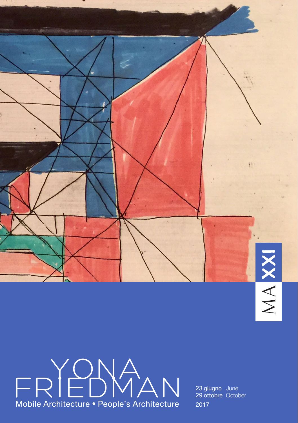

# FRIEDWAN Mobile Architecture • People's Architecture

23 giugno June 29 ottobre October 2017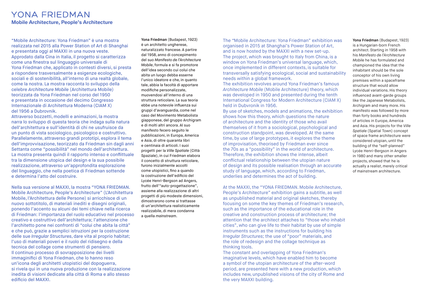## **YONA FRIEDMAN Mobile Architecture, People's Architecture**

"Mobile Architecture: Yona Friedman" è una mostra realizzata nel 2015 alla Power Station of Art di Shanghai e presentata oggi al MAXXI in una nuova veste. Approdato dalla Cina in Italia, il progetto si caratterizza come una finestra sul linguaggio universale di Yona Friedman che, applicato in contesti diversi, si presta a rispondere trasversalmente a esigenze ecologiche, sociali e di sostenibilità, all'interno di una realtà globale, come la nostra. La mostra racconta lo sviluppo della celebre *Architecture Mobile* (Architettura Mobile) teorizzata da Yona Friedman nel corso del 1950 e presentata in occasione del decimo Congresso Internazionale di Architettura Moderna (CIAM X) del 1956 a Dubrovnik.

Attraverso bozzetti, modelli e animazioni, la mostra narra lo sviluppo di questa teoria che indaga sulla natura dell'architettura e sull'identità di chi ne usufruisce da un punto di vista sociologico, psicologico e costruttivo. Parallelamente, attraverso grandi prototipi, esplora il tema dell'improvvisazione, teorizzato da Friedman sin dagli anni Settanta come "possibilità" nel mondo dell'architettura. La mostra presenta quindi il rapporto intenso e conflittuale tra la dimensione utopica del design e la sua possibile realizzazione, attraverso un'approfondita esplorazione del linguaggio, che nella poetica di Friedman sottende e determina l'atto del costruire.

Nella sua versione al MAXXI, la mostra "YONA FRIEDMAN. Mobile Architecture, People's Architecture" (L'Architettura Mobile, l'Architettura delle Persone) si arricchisce di un nuovo sottotitolo, di materiali inediti e disegni originali, ponendo l'accento su alcuni dei temi chiave nella ricerca di Friedman: l'importanza del ruolo educativo nel processo creativo e costruttivo dell'architettura; l'attenzione che l'architetto pone nei confronti di "colui che abita la città" e che può, grazie a semplici istruzioni per la costruzione delle sue *Irregular Structures*, dare vita al proprio habitat; l'uso di materiali poveri e il ruolo del ridisegno e della tecnica del collage come strumenti di pensiero. Il continuo processo di sovrapposizione dei livelli immaginifici di Yona Friedman, che lo hanno reso un'icona degli architetti utopistici del dopoguerra, si rivela qui in una nuova produzione con la realizzazione inedita di visioni dedicate alla città di Roma e allo stesso edificio del MAXXI.

**Yona Friedman** (Budapest, 1923) è un architetto ungherese,

naturalizzato francese. A partire dal 1958, anno di concepimento del suo *Manifesto de l'Architecture Mobile*, formula e si fa promotore dell'idea secondo cui colui che abita un luogo debba esserne l'unico ideatore e che, in quanto tale, abbia la facoltà di apportare modifiche personalizzate, muovendosi all'interno di una struttura reticolare. La sua teoria ebbe una notevole influenza sui gruppi d'avanguardia, come nel caso del Movimento Metabolista giapponese, del gruppo Archigram e di molti altri ancora. Al suo manifesto fecero seguito le pubblicazioni, in Europa, America e Asia, di oltre quaranta libri e centinaia di articoli. I suoi progetti per la *Ville Spatiale* (Città Spaziale), in cui Friedman elabora il concetto di struttura reticolare, furono inizialmente accolti come utopistici, fino a quando la costruzione dell'edificio del Lycée Henri-Bergson ad Angers, frutto dell'"auto-progettazione", assieme alla realizzazione di altri progetti di più modeste dimensioni, dimostrarono come si trattasse di un'architettura realisticamente realizzabile, di mera condanna a quella *mainstream*.

The *"*Mobile Architecture: Yona Friedman" exhibition was organised in 2015 at Shanghai's Power Station of Art, and is now hosted by the MAXXI with a new set-up. The project, which was brought to Italy from China, is a window on Yona Friedman's universal language, which, once implemented in different contexts, is suitable for transversally satisfying ecological, social and sustainability needs within a global framework.

The exhibition revolves around Yona Friedman's famous *Architecture Mobile* (Mobile Architecture) theory, which was developed in 1950 and presented during the tenth International Congress for Modern Architecture (CIAM X) held in Dubvronik in 1956.

By use of sketches, models and animations, the exhibition shows how this theory, which questions the nature of architecture and the identity of those who avail themselves of it from a sociological, psychological and construction standpoint, was developed. At the same time, by use of large prototypes, it explores the theme of improvisation, theorised by Friedman ever since the 70s as a "possibility" in the world of architecture. Therefore, the exhibition shows the intense, albeit conflictual relationship between the utopian nature of design and its possible realisation through an accurate study of language, which, according to Friedman, underlies and determines the act of building.

At the MAXXI, the "YONA FRIEDMAN. Mobile Architecture, People's Architecture" exhibition gains a subtitle, as well as unpublished material and original sketches, thereby focusing on some the key themes of Friedman's research, such as the importance of the educational role in the creative and construction process of architecture; the attention that the architect attaches to "those who inhabit cities", who can give life to their habitat by use of simple instruments such as the instructions for building his *Irregular Structures*; the use of "poor" materials, and the role of redesign and the collage technique as thinking tools.

The constant and overlapping of Yona Friedman's imaginative levels, which have enabled him to become a symbol of the utopian architecture of the after-word period, are presented here with a new production, which includes new, unpublished visions of the city of Rome and the very MAXXI building.

### **Yona Friedman** (Budapest, 1923)

is a Hungarian-born French architect. Starting in 1958 with his *Manifesto de l'Architecture Mobile* he has formulated and championed the idea that the inhabitant should be the sole conceptor of his own living premises within a spaceframe structure that would allow individual variations. His theory influenced avant-garde groups like the Japanese Metabolists, Archigram and many more. His manifesto was followed by more than forty books and hundreds of articles in Europe, America and Asia. His projects for the *Ville Spatiale* (Spatial Town) concept of space frame architecture were considered utopian, until the building of the "self-planned" Lycée Henri-Bergson in Angers in 1980 and many other smaller projects, showed that he is actually a realist, merely critical of mainstream architecture.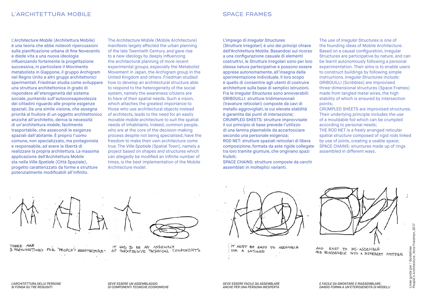L'*Architecture Mobile* (Architettura Mobile) è una teoria che ebbe notevoli ripercussioni sulla pianificazione urbana di fine Novecento e diede vita a una nuova ideologia influenzando fortemente la progettazione successiva, in particolare il Movimento metabolista in Giappone, il gruppo Archigram nel Regno Unito e altri gruppi architettonici sperimentali. Friedman studia come sviluppare una struttura architettonica in grado di rispondere all'eterogeneità del sistema sociale, puntando sull'autoconsapevolezza dei cittadini riguardo alle proprie esigenze spaziali. Da una simile visione, che assegna priorità al fruitore di un oggetto architettonico anziché all'architetto, deriva la necessità di un'architettura *mobile*, facilmente trasportabile, che assecondi le esigenze spaziali dall'abitante. È proprio l'uomo comune, non specializzato, ma protagonista e responsabile, ad avere la libertà di realizzare la propria architettura. La massima applicazione dell'Architettura Mobile sta nella *Ville Spatiale* (Città Spaziale), progetto caratterizzato da forme e strutture potenzialmente modificabili all'infinito.

The *Architecture Mobile* (Mobile Architecture) manifesto largely affected the urban planning of the late Twentieth Century, and gave rise to a new ideology by deeply influencing the architectural planning of more recent experimental groups, especially the Metabolist Movement in Japan, the Archigram group in the United Kingdom and others. Friedman studied how to develop an architectural structure able to respond to the heterogeneity of the social system, namely the awareness citizens are to have of their spatial needs. Such a vision, which attaches the greatest importance to those who use architectural objects instead of architects, leads to the need for an easily movable *mobile* architecture to suit the spatial needs of inhabitants. Indeed, common people, who are at the core of the decision-making process despite not being specialised, have the freedom to make their own architecture come true. The *Ville Spatiale* (Spatial Town), namely a project based on shapes and structures which can allegedly be modified an infinite number of times, is the best implementation of the Mobile Architecture model.

L'impiego di *Irregular Structures* 

(Strutture Irregolari) è uno dei principi chiave dell'Architettura Mobile. Basandosi sul ricorso a una configurazione casuale di elementi costruttivi, le Strutture Irregolari sono per loro stessa natura partecipative e possono essere apprese autonomamente, all'insegna della sperimentazione individuale. Il loro scopo è quello di consentire agli utenti di costruire architetture sulla base di semplici istruzioni. Fra le *Irregular Structures* sono annoverabili: GRIBOUILLI: strutture tridimensionali (travature reticolari) composte da cavi di metallo aggrovigliati, la cui elevata stabilità è garantita dai punti di intersezione; CRUMPLED SHEETS: strutture improvvisate il cui principio di base prevede l'utilizzo di una lamina plasmabile da accartocciare secondo una personale esigenza; ROD NET: strutture spaziali reticolari di libera composizione, formata da aste rigide collegate tra loro tramite giunture, che originano spazi fruibili;

SPACE CHAINS: strutture composte da cerchi assemblati in molteplici varianti.

The use of *Irregular Structures* is one of the founding ideas of Mobile Architecture. Based on a causal configuration, Irregular Structures are participative by nature, and can be learnt autonomously following a personal experimentation. Their aims is to enable users to construct buildings by following simple instructions. *Irregular Structures* include: GRIBOUILLI (Scribbles) are improvised three-dimensional structures (Space Frames) made from tangled metal wires, the high stability of which is ensured by intersection points;

CRUMPLED SHEETS are improvised structures. Their underlying principle includes the use of a mouldable foil which can be crumpled according to personal needs; THE ROD NET is a freely arranged reticular spatial structure composed of rigid rods linked by use of joints, creating a usable space; SPACE CHAINS: structures made up of rings

assembled in different ways.

THERE ARE 3 PRECONDITIONS FOR "PEOPLE'S ARGHITECTURE"



IT HAS TO BE AN ASSEMBLY OF INEXPENSIVE TECHNICAL COMPONENTS



IT MUST BE EASY TO ASSEMBLE FOR A LAYMAN



AND EASY TO DIS-ASSEMBLE AND REASSEABLE INTO A DIFFERENT PATTERN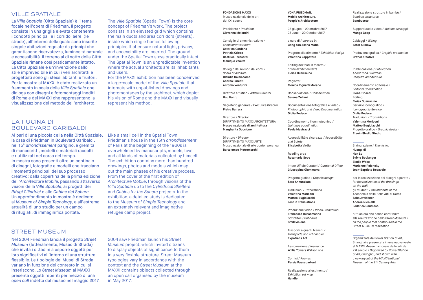## VILLE SPATIALE

La *Ville Spatiale* (Città Spaziale) è il tema focale nell'opera di Friedman. Il progetto consiste in una griglia elevata contenente i condotti principali e i corridoi aerei (le strade), all'interno della quale sono inserite singole abitazioni regolate da principi che garantiscono riservatezza, luminosità naturale e accessibilità. Il terreno al di sotto della Città Spaziale rimane così praticamente intatto. La Città Spaziale è un'invenzione dallo stile imprevedibile in cui i veri architetti e progettisti sono gli stessi abitanti e fruitori. Per la mostra al MAXXI è stato realizzato un frammento in scala della *Ville Spatiale* che dialoga con disegni e fotomontaggi inediti di Roma e del MAXXI che rappresentano la visualizzazione del metodo dell'architetto.

# LA FUCINA DI BOULEVARD GARIBALDI

Al pari di una piccola cella nella Città Spaziale, la casa di Friedman in Boulevard Garibaldi, nel 15° *arrondissement* parigino, è gremita di manoscritti, modelli e materiali raccolti e riutilizzati nel corso del tempo. In mostra sono presenti oltre un centinaio di disegni, fotografie e modelli che tracciano i momenti principali del suo processo creativo: dalla copertina della prima edizione dell'*Architecture Mobile*, passando attraverso visioni della *Ville Spatiale*, ai progetti dei *Rifugi Cilindrici* e alle *Cabine del Sahara*. Un approfondimento in mostra è dedicato al *Museum of Simple Tecnology*, e all'estrema attualità di uno studio per un campo di rifugiati, di immaginifica portata.

The *Ville Spatiale* (Spatial Town) is the core concept of Friedman's work. The project consists in an elevated grid which contains the main ducts and area corridors (streets), inside which single homes following principles that ensure natural light, privacy, and accessibility are inserted. The ground under the Spatial Town stays practically intact. The Spatial Town is an unpredictable invention where the actual architects are its inhabitants and users.

For the MAXXI exhibition has been conceinved a large-scale model of the *Ville Spatiale* that interacts with unpublished drawings and photomontages by the architect, which depict his vision of Rome and the MAXXI and visually represent his method.

Like a small cell in the Spatial Town, Friedman's house in the 15th *arrondissement* of Paris at the beginning of the 1960s is overwhelmed by manuscripts, models, toys and all kinds of materials collected by himself. The exhibition contains more than hundred drawings, photos and models which map out the main phases of his creative process. From the cover of the first edition of *Architecture Mobile*, through visions of the *Ville Spatiale* up to the *Cylindrical Shelters* and *Cabins for the Sahara* projects. In the exhibition, a detailed study is dedicated to the *Museum of Simple Tecnology* and an extremely relevant and imaginative refugee camp project.

## STREET MUSEUM

Nel 2004 Friedman lancia il progetto *Street Museum* (letteralmente, Museo di Strada) che invita i cittadini a esporre oggetti per loro significativi all'interno di una struttura flessibile. Le tipologie dei Musei di Strada variano in funzione del contesto in cui si inseriscono. Lo *Street Museum* al MAXXI presenta oggetti reperiti per mezzo di una *open call* indetta dal museo nel maggio 2017.

2004 saw Friedman launch his *Street Museum* project, which invited citizens to display objects of significance to them in a very flexible structure. Street Museum typologies vary in accordance with the context and the *Street Museum* at the MAXXI contains objects collected through an open call organised by the museum in May 2017.

#### **FONDAZIONE MAXXI** Museo nazionale delle arti

del XXI secolo

Presidente / *President* **Giovanna Melandri**

Consiglio di amministrazione / *Admnistrative Board* **Caterina Cardona Patrizia Grieco Beatrice Trussardi Monique Veaute**

Collegio dei revisori dei conti / *Board of Auditors* **Claudia Colaiacomo Andrea Parenti Antonio Venturini**

Direttore artistico / *Artistic Director* **Hou Hanru**

Segretario generale / *Executive Director* **Pietro Barrera**

Direttore / *Director* DIPARTIMENTO MAXXI ARCHITETTURA **Museo nazionale di architettura Margherita Guccione**

Direttore / *Director* DIPARTIMENTO MAXXI ARTE Museo nazionale di arte contemporanea **Bartolomeo Pietromarchi**

**YONA EDIEDMAN Mobile Architecture, People's Architecture**

23 giugno – 29 ottobre 2017 23 June – 29 October 2017

a cura di / *curated by* **Gong Yan**, **Elena Motisi**

Progetto allestimento / *Exhibition design* **Valentina Zappatore**

Editing dei testi in mostra / *of the exhibition texts* **Eloisa Guarracino**

Registrar **Monica Pignatti Morano**

Conservazione / *Conservation* **Serena Zuliani** 

Documentazione fotografica e video / *Photographic and Video Documentation* **Giulia Pedace**

Coordinamento illuminotecnico / *Lightings coordination* **Paola Mastracci**

Accessibilità e sicurezza / *Accessibility and Safety* **Elisabetta Virdia**

Reading area **Rosamaria Sepe**

Intern Ufficio Curatori / *Curatorial Office* **Giuseppina Giummarra**

Progetto grafico / *Graphic design* **Sara Annunziata**

Traduzioni / *Translations* **Valentina Moriconi Matteo Bugiolacchi Lost in Translations**

Produzione video / *Video Production* **Francesco Russomanno**

Sottotitoli / *Subtytles* **Smilevisions**

Trasporti e guanti bianchi / *Transports and Art handler* **Expotrans Art**

Assicurazione / *Insurance* **Willis Towers Watson spa**

Cornici / *Frames* **Persia Passepartout**

Realizzazione allestimento / *Exhibition set – up* **Handle**

Realizzazione strutture in bambù / *Bamboo structures* **Bambuseto**

Supporti audio video / *Multimedia supplì* **Manga Coop**

Cablaggi / *Wiring*  **Sater 4 Show**

Produzione grafica / *Graphic production* **GraficaKreativa**

## Pubblicazione / *Publication*

*About Yona Friedman. People's Architecture*

Coordinamento editoriale / *Editorial Coordination* **Elena Tinacci**  Editing **Eloisa Guarracino** Servizio iconografico / *Iconographic Service* **Giulia Pedace** Traduzioni / *Translations* **Valentina Moriconi Matteo Bugiolacchi** Progetto grafico / *Graphic design* **Etaoin Shrdlu Studio**

#### Si ringraziano / *Thanks to:*

**Huang Mi Han Lu Sylvie Boulanger Elodie Weiss Marianne Polonsky Jean-Baptiste Decavèle**

per la realizzazione dei disegni a parete / *for the realization of the drawings on the wall:* gli studenti / *the students of the* Accademia delle Belle Arti di Roma **Saba Javidaneh Andrea Nicolella Federica Gaudioso**

tutti coloro che hanno contribuito alla realizzazione dello *Street Museum* / *all the people that contributed in the*  Street Museum *realization* 

Organizzata da Power Station of Art, Shanghai e presentata in una nuova veste al MAXXI Museo nazionale delle arti del XXI secolo / *Organized by Power Station of Art, Shanghai, and shown with a new layout at the MAXXI National Museum of the 21st Century Arts.*